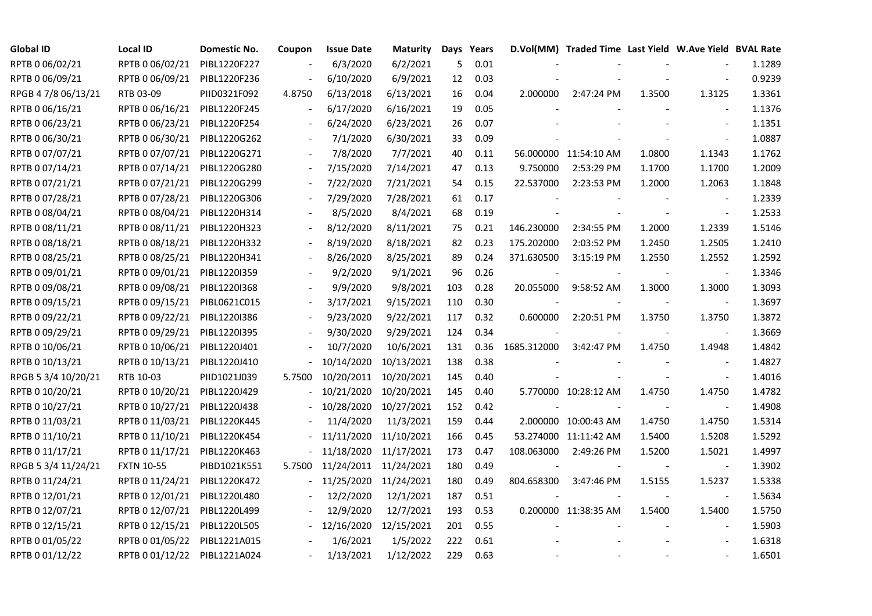| <b>Global ID</b>    | <b>Local ID</b>   | Domestic No. | Coupon                   | <b>Issue Date</b>     | <b>Maturity</b> |     | Days Years |                          | D.Vol(MM) Traded Time Last Yield W.Ave Yield BVAL Rate |        |                          |        |
|---------------------|-------------------|--------------|--------------------------|-----------------------|-----------------|-----|------------|--------------------------|--------------------------------------------------------|--------|--------------------------|--------|
| RPTB 0 06/02/21     | RPTB 0 06/02/21   | PIBL1220F227 |                          | 6/3/2020              | 6/2/2021        | 5   | 0.01       |                          |                                                        |        |                          | 1.1289 |
| RPTB 0 06/09/21     | RPTB 0 06/09/21   | PIBL1220F236 |                          | 6/10/2020             | 6/9/2021        | 12  | 0.03       |                          |                                                        |        |                          | 0.9239 |
| RPGB 4 7/8 06/13/21 | RTB 03-09         | PIID0321F092 | 4.8750                   | 6/13/2018             | 6/13/2021       | 16  | 0.04       | 2.000000                 | 2:47:24 PM                                             | 1.3500 | 1.3125                   | 1.3361 |
| RPTB 0 06/16/21     | RPTB 0 06/16/21   | PIBL1220F245 | $\overline{\phantom{a}}$ | 6/17/2020             | 6/16/2021       | 19  | 0.05       |                          |                                                        |        |                          | 1.1376 |
| RPTB 0 06/23/21     | RPTB 0 06/23/21   | PIBL1220F254 | $\blacksquare$           | 6/24/2020             | 6/23/2021       | 26  | 0.07       |                          |                                                        |        | $\blacksquare$           | 1.1351 |
| RPTB 0 06/30/21     | RPTB 0 06/30/21   | PIBL1220G262 |                          | 7/1/2020              | 6/30/2021       | 33  | 0.09       |                          |                                                        |        |                          | 1.0887 |
| RPTB 0 07/07/21     | RPTB 0 07/07/21   | PIBL1220G271 |                          | 7/8/2020              | 7/7/2021        | 40  | 0.11       |                          | 56.000000 11:54:10 AM                                  | 1.0800 | 1.1343                   | 1.1762 |
| RPTB 0 07/14/21     | RPTB 0 07/14/21   | PIBL1220G280 |                          | 7/15/2020             | 7/14/2021       | 47  | 0.13       | 9.750000                 | 2:53:29 PM                                             | 1.1700 | 1.1700                   | 1.2009 |
| RPTB 0 07/21/21     | RPTB 0 07/21/21   | PIBL1220G299 |                          | 7/22/2020             | 7/21/2021       | 54  | 0.15       | 22.537000                | 2:23:53 PM                                             | 1.2000 | 1.2063                   | 1.1848 |
| RPTB 0 07/28/21     | RPTB 0 07/28/21   | PIBL1220G306 |                          | 7/29/2020             | 7/28/2021       | 61  | 0.17       |                          |                                                        |        |                          | 1.2339 |
| RPTB 0 08/04/21     | RPTB 0 08/04/21   | PIBL1220H314 |                          | 8/5/2020              | 8/4/2021        | 68  | 0.19       |                          |                                                        |        |                          | 1.2533 |
| RPTB 0 08/11/21     | RPTB 0 08/11/21   | PIBL1220H323 |                          | 8/12/2020             | 8/11/2021       | 75  | 0.21       | 146.230000               | 2:34:55 PM                                             | 1.2000 | 1.2339                   | 1.5146 |
| RPTB 0 08/18/21     | RPTB 0 08/18/21   | PIBL1220H332 |                          | 8/19/2020             | 8/18/2021       | 82  | 0.23       | 175.202000               | 2:03:52 PM                                             | 1.2450 | 1.2505                   | 1.2410 |
| RPTB 0 08/25/21     | RPTB 0 08/25/21   | PIBL1220H341 |                          | 8/26/2020             | 8/25/2021       | 89  | 0.24       | 371.630500               | 3:15:19 PM                                             | 1.2550 | 1.2552                   | 1.2592 |
| RPTB 0 09/01/21     | RPTB 0 09/01/21   | PIBL1220I359 |                          | 9/2/2020              | 9/1/2021        | 96  | 0.26       | $\overline{\phantom{a}}$ |                                                        |        | $\blacksquare$           | 1.3346 |
| RPTB 0 09/08/21     | RPTB 0 09/08/21   | PIBL1220I368 |                          | 9/9/2020              | 9/8/2021        | 103 | 0.28       | 20.055000                | 9:58:52 AM                                             | 1.3000 | 1.3000                   | 1.3093 |
| RPTB 0 09/15/21     | RPTB 0 09/15/21   | PIBL0621C015 |                          | 3/17/2021             | 9/15/2021       | 110 | 0.30       |                          |                                                        |        |                          | 1.3697 |
| RPTB 0 09/22/21     | RPTB 0 09/22/21   | PIBL1220I386 | $\blacksquare$           | 9/23/2020             | 9/22/2021       | 117 | 0.32       | 0.600000                 | 2:20:51 PM                                             | 1.3750 | 1.3750                   | 1.3872 |
| RPTB 0 09/29/21     | RPTB 0 09/29/21   | PIBL1220I395 |                          | 9/30/2020             | 9/29/2021       | 124 | 0.34       |                          |                                                        |        |                          | 1.3669 |
| RPTB 0 10/06/21     | RPTB 0 10/06/21   | PIBL1220J401 |                          | 10/7/2020             | 10/6/2021       | 131 | 0.36       | 1685.312000              | 3:42:47 PM                                             | 1.4750 | 1.4948                   | 1.4842 |
| RPTB 0 10/13/21     | RPTB 0 10/13/21   | PIBL1220J410 |                          | 10/14/2020            | 10/13/2021      | 138 | 0.38       |                          |                                                        |        | $\blacksquare$           | 1.4827 |
| RPGB 5 3/4 10/20/21 | RTB 10-03         | PIID1021J039 | 5.7500                   | 10/20/2011            | 10/20/2021      | 145 | 0.40       |                          |                                                        |        | $\overline{\phantom{a}}$ | 1.4016 |
| RPTB 0 10/20/21     | RPTB 0 10/20/21   | PIBL1220J429 |                          | 10/21/2020            | 10/20/2021      | 145 | 0.40       |                          | 5.770000 10:28:12 AM                                   | 1.4750 | 1.4750                   | 1.4782 |
| RPTB 0 10/27/21     | RPTB 0 10/27/21   | PIBL1220J438 |                          | 10/28/2020            | 10/27/2021      | 152 | 0.42       |                          |                                                        |        |                          | 1.4908 |
| RPTB 0 11/03/21     | RPTB 0 11/03/21   | PIBL1220K445 |                          | 11/4/2020             | 11/3/2021       | 159 | 0.44       |                          | 2.000000 10:00:43 AM                                   | 1.4750 | 1.4750                   | 1.5314 |
| RPTB 0 11/10/21     | RPTB 0 11/10/21   | PIBL1220K454 |                          | 11/11/2020            | 11/10/2021      | 166 | 0.45       |                          | 53.274000 11:11:42 AM                                  | 1.5400 | 1.5208                   | 1.5292 |
| RPTB 0 11/17/21     | RPTB 0 11/17/21   | PIBL1220K463 |                          | 11/18/2020            | 11/17/2021      | 173 | 0.47       | 108.063000               | 2:49:26 PM                                             | 1.5200 | 1.5021                   | 1.4997 |
| RPGB 5 3/4 11/24/21 | <b>FXTN 10-55</b> | PIBD1021K551 | 5.7500                   | 11/24/2011 11/24/2021 |                 | 180 | 0.49       |                          |                                                        |        | $\overline{\phantom{a}}$ | 1.3902 |
| RPTB 0 11/24/21     | RPTB 0 11/24/21   | PIBL1220K472 |                          | 11/25/2020            | 11/24/2021      | 180 | 0.49       | 804.658300               | 3:47:46 PM                                             | 1.5155 | 1.5237                   | 1.5338 |
| RPTB 0 12/01/21     | RPTB 0 12/01/21   | PIBL1220L480 |                          | 12/2/2020             | 12/1/2021       | 187 | 0.51       |                          |                                                        |        |                          | 1.5634 |
| RPTB 0 12/07/21     | RPTB 0 12/07/21   | PIBL1220L499 |                          | 12/9/2020             | 12/7/2021       | 193 | 0.53       |                          | 0.200000 11:38:35 AM                                   | 1.5400 | 1.5400                   | 1.5750 |
| RPTB 0 12/15/21     | RPTB 0 12/15/21   | PIBL1220L505 |                          | 12/16/2020            | 12/15/2021      | 201 | 0.55       |                          |                                                        |        | $\overline{\phantom{a}}$ | 1.5903 |
| RPTB 0 01/05/22     | RPTB 0 01/05/22   | PIBL1221A015 |                          | 1/6/2021              | 1/5/2022        | 222 | 0.61       |                          |                                                        |        |                          | 1.6318 |
| RPTB 0 01/12/22     | RPTB 0 01/12/22   | PIBL1221A024 |                          | 1/13/2021             | 1/12/2022       | 229 | 0.63       |                          |                                                        |        |                          | 1.6501 |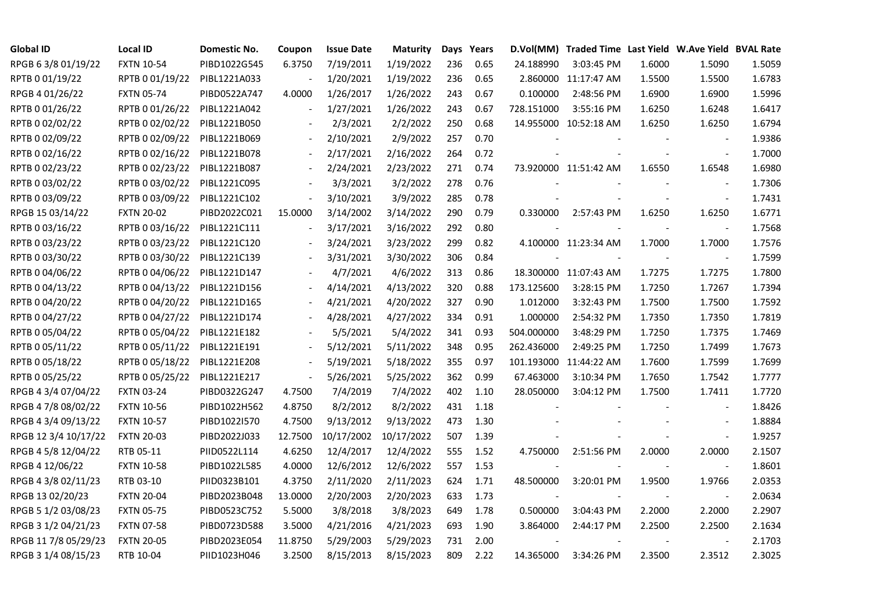| <b>Global ID</b>     | <b>Local ID</b>   | Domestic No. | Coupon                   | <b>Issue Date</b> | <b>Maturity</b> |     | Days Years |            | D.Vol(MM) Traded Time Last Yield W.Ave Yield BVAL Rate |        |                          |        |
|----------------------|-------------------|--------------|--------------------------|-------------------|-----------------|-----|------------|------------|--------------------------------------------------------|--------|--------------------------|--------|
| RPGB 63/8 01/19/22   | <b>FXTN 10-54</b> | PIBD1022G545 | 6.3750                   | 7/19/2011         | 1/19/2022       | 236 | 0.65       | 24.188990  | 3:03:45 PM                                             | 1.6000 | 1.5090                   | 1.5059 |
| RPTB 0 01/19/22      | RPTB 0 01/19/22   | PIBL1221A033 |                          | 1/20/2021         | 1/19/2022       | 236 | 0.65       |            | 2.860000 11:17:47 AM                                   | 1.5500 | 1.5500                   | 1.6783 |
| RPGB 4 01/26/22      | <b>FXTN 05-74</b> | PIBD0522A747 | 4.0000                   | 1/26/2017         | 1/26/2022       | 243 | 0.67       | 0.100000   | 2:48:56 PM                                             | 1.6900 | 1.6900                   | 1.5996 |
| RPTB 0 01/26/22      | RPTB 0 01/26/22   | PIBL1221A042 | $\blacksquare$           | 1/27/2021         | 1/26/2022       | 243 | 0.67       | 728.151000 | 3:55:16 PM                                             | 1.6250 | 1.6248                   | 1.6417 |
| RPTB 0 02/02/22      | RPTB 0 02/02/22   | PIBL1221B050 | $\blacksquare$           | 2/3/2021          | 2/2/2022        | 250 | 0.68       |            | 14.955000 10:52:18 AM                                  | 1.6250 | 1.6250                   | 1.6794 |
| RPTB 0 02/09/22      | RPTB 0 02/09/22   | PIBL1221B069 | $\overline{\phantom{a}}$ | 2/10/2021         | 2/9/2022        | 257 | 0.70       |            |                                                        |        | $\blacksquare$           | 1.9386 |
| RPTB 0 02/16/22      | RPTB 0 02/16/22   | PIBL1221B078 | $\blacksquare$           | 2/17/2021         | 2/16/2022       | 264 | 0.72       |            |                                                        |        | $\blacksquare$           | 1.7000 |
| RPTB 0 02/23/22      | RPTB 0 02/23/22   | PIBL1221B087 | $\blacksquare$           | 2/24/2021         | 2/23/2022       | 271 | 0.74       |            | 73.920000 11:51:42 AM                                  | 1.6550 | 1.6548                   | 1.6980 |
| RPTB 0 03/02/22      | RPTB 0 03/02/22   | PIBL1221C095 |                          | 3/3/2021          | 3/2/2022        | 278 | 0.76       |            |                                                        |        |                          | 1.7306 |
| RPTB 0 03/09/22      | RPTB 0 03/09/22   | PIBL1221C102 | $\blacksquare$           | 3/10/2021         | 3/9/2022        | 285 | 0.78       |            |                                                        |        | $\blacksquare$           | 1.7431 |
| RPGB 15 03/14/22     | <b>FXTN 20-02</b> | PIBD2022C021 | 15.0000                  | 3/14/2002         | 3/14/2022       | 290 | 0.79       | 0.330000   | 2:57:43 PM                                             | 1.6250 | 1.6250                   | 1.6771 |
| RPTB 0 03/16/22      | RPTB 0 03/16/22   | PIBL1221C111 | $\blacksquare$           | 3/17/2021         | 3/16/2022       | 292 | 0.80       |            |                                                        |        | $\blacksquare$           | 1.7568 |
| RPTB 0 03/23/22      | RPTB 0 03/23/22   | PIBL1221C120 |                          | 3/24/2021         | 3/23/2022       | 299 | 0.82       |            | 4.100000 11:23:34 AM                                   | 1.7000 | 1.7000                   | 1.7576 |
| RPTB 0 03/30/22      | RPTB 0 03/30/22   | PIBL1221C139 |                          | 3/31/2021         | 3/30/2022       | 306 | 0.84       |            |                                                        |        | $\overline{\phantom{a}}$ | 1.7599 |
| RPTB 0 04/06/22      | RPTB 0 04/06/22   | PIBL1221D147 |                          | 4/7/2021          | 4/6/2022        | 313 | 0.86       |            | 18.300000 11:07:43 AM                                  | 1.7275 | 1.7275                   | 1.7800 |
| RPTB 0 04/13/22      | RPTB 0 04/13/22   | PIBL1221D156 |                          | 4/14/2021         | 4/13/2022       | 320 | 0.88       | 173.125600 | 3:28:15 PM                                             | 1.7250 | 1.7267                   | 1.7394 |
| RPTB 0 04/20/22      | RPTB 0 04/20/22   | PIBL1221D165 |                          | 4/21/2021         | 4/20/2022       | 327 | 0.90       | 1.012000   | 3:32:43 PM                                             | 1.7500 | 1.7500                   | 1.7592 |
| RPTB 0 04/27/22      | RPTB 0 04/27/22   | PIBL1221D174 | $\blacksquare$           | 4/28/2021         | 4/27/2022       | 334 | 0.91       | 1.000000   | 2:54:32 PM                                             | 1.7350 | 1.7350                   | 1.7819 |
| RPTB 0 05/04/22      | RPTB 0 05/04/22   | PIBL1221E182 |                          | 5/5/2021          | 5/4/2022        | 341 | 0.93       | 504.000000 | 3:48:29 PM                                             | 1.7250 | 1.7375                   | 1.7469 |
| RPTB 0 05/11/22      | RPTB 0 05/11/22   | PIBL1221E191 | $\overline{\phantom{a}}$ | 5/12/2021         | 5/11/2022       | 348 | 0.95       | 262.436000 | 2:49:25 PM                                             | 1.7250 | 1.7499                   | 1.7673 |
| RPTB 0 05/18/22      | RPTB 0 05/18/22   | PIBL1221E208 | $\blacksquare$           | 5/19/2021         | 5/18/2022       | 355 | 0.97       |            | 101.193000 11:44:22 AM                                 | 1.7600 | 1.7599                   | 1.7699 |
| RPTB 0 05/25/22      | RPTB 0 05/25/22   | PIBL1221E217 | $\blacksquare$           | 5/26/2021         | 5/25/2022       | 362 | 0.99       | 67.463000  | 3:10:34 PM                                             | 1.7650 | 1.7542                   | 1.7777 |
| RPGB 4 3/4 07/04/22  | <b>FXTN 03-24</b> | PIBD0322G247 | 4.7500                   | 7/4/2019          | 7/4/2022        | 402 | 1.10       | 28.050000  | 3:04:12 PM                                             | 1.7500 | 1.7411                   | 1.7720 |
| RPGB 4 7/8 08/02/22  | <b>FXTN 10-56</b> | PIBD1022H562 | 4.8750                   | 8/2/2012          | 8/2/2022        | 431 | 1.18       |            |                                                        |        | $\overline{\phantom{a}}$ | 1.8426 |
| RPGB 4 3/4 09/13/22  | <b>FXTN 10-57</b> | PIBD1022I570 | 4.7500                   | 9/13/2012         | 9/13/2022       | 473 | 1.30       |            |                                                        |        | $\blacksquare$           | 1.8884 |
| RPGB 12 3/4 10/17/22 | <b>FXTN 20-03</b> | PIBD2022J033 | 12.7500                  | 10/17/2002        | 10/17/2022      | 507 | 1.39       |            |                                                        |        | $\blacksquare$           | 1.9257 |
| RPGB 4 5/8 12/04/22  | RTB 05-11         | PIID0522L114 | 4.6250                   | 12/4/2017         | 12/4/2022       | 555 | 1.52       | 4.750000   | 2:51:56 PM                                             | 2.0000 | 2.0000                   | 2.1507 |
| RPGB 4 12/06/22      | <b>FXTN 10-58</b> | PIBD1022L585 | 4.0000                   | 12/6/2012         | 12/6/2022       | 557 | 1.53       |            |                                                        |        | $\blacksquare$           | 1.8601 |
| RPGB 4 3/8 02/11/23  | RTB 03-10         | PIID0323B101 | 4.3750                   | 2/11/2020         | 2/11/2023       | 624 | 1.71       | 48.500000  | 3:20:01 PM                                             | 1.9500 | 1.9766                   | 2.0353 |
| RPGB 13 02/20/23     | <b>FXTN 20-04</b> | PIBD2023B048 | 13.0000                  | 2/20/2003         | 2/20/2023       | 633 | 1.73       |            |                                                        |        |                          | 2.0634 |
| RPGB 5 1/2 03/08/23  | <b>FXTN 05-75</b> | PIBD0523C752 | 5.5000                   | 3/8/2018          | 3/8/2023        | 649 | 1.78       | 0.500000   | 3:04:43 PM                                             | 2.2000 | 2.2000                   | 2.2907 |
| RPGB 3 1/2 04/21/23  | <b>FXTN 07-58</b> | PIBD0723D588 | 3.5000                   | 4/21/2016         | 4/21/2023       | 693 | 1.90       | 3.864000   | 2:44:17 PM                                             | 2.2500 | 2.2500                   | 2.1634 |
| RPGB 11 7/8 05/29/23 | <b>FXTN 20-05</b> | PIBD2023E054 | 11.8750                  | 5/29/2003         | 5/29/2023       | 731 | 2.00       |            |                                                        |        |                          | 2.1703 |
| RPGB 3 1/4 08/15/23  | RTB 10-04         | PIID1023H046 | 3.2500                   | 8/15/2013         | 8/15/2023       | 809 | 2.22       | 14.365000  | 3:34:26 PM                                             | 2.3500 | 2.3512                   | 2.3025 |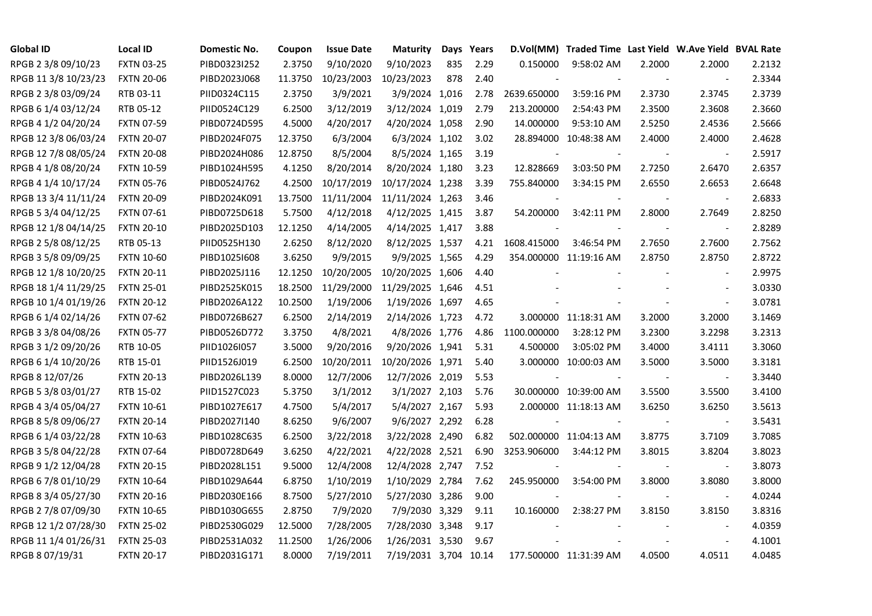| <b>Global ID</b>     | <b>Local ID</b>   | Domestic No. | Coupon  | <b>Issue Date</b> | <b>Maturity</b>       |     | Days Years |                | D.Vol(MM) Traded Time Last Yield W.Ave Yield BVAL Rate |        |                          |        |
|----------------------|-------------------|--------------|---------|-------------------|-----------------------|-----|------------|----------------|--------------------------------------------------------|--------|--------------------------|--------|
| RPGB 2 3/8 09/10/23  | <b>FXTN 03-25</b> | PIBD0323I252 | 2.3750  | 9/10/2020         | 9/10/2023             | 835 | 2.29       | 0.150000       | 9:58:02 AM                                             | 2.2000 | 2.2000                   | 2.2132 |
| RPGB 11 3/8 10/23/23 | <b>FXTN 20-06</b> | PIBD2023J068 | 11.3750 | 10/23/2003        | 10/23/2023            | 878 | 2.40       |                |                                                        |        | $\sim$                   | 2.3344 |
| RPGB 2 3/8 03/09/24  | RTB 03-11         | PIID0324C115 | 2.3750  | 3/9/2021          | 3/9/2024 1,016        |     | 2.78       | 2639.650000    | 3:59:16 PM                                             | 2.3730 | 2.3745                   | 2.3739 |
| RPGB 6 1/4 03/12/24  | RTB 05-12         | PIID0524C129 | 6.2500  | 3/12/2019         | 3/12/2024 1,019       |     | 2.79       | 213.200000     | 2:54:43 PM                                             | 2.3500 | 2.3608                   | 2.3660 |
| RPGB 4 1/2 04/20/24  | <b>FXTN 07-59</b> | PIBD0724D595 | 4.5000  | 4/20/2017         | 4/20/2024 1,058       |     | 2.90       | 14.000000      | 9:53:10 AM                                             | 2.5250 | 2.4536                   | 2.5666 |
| RPGB 12 3/8 06/03/24 | <b>FXTN 20-07</b> | PIBD2024F075 | 12.3750 | 6/3/2004          | 6/3/2024 1,102        |     | 3.02       |                | 28.894000 10:48:38 AM                                  | 2.4000 | 2.4000                   | 2.4628 |
| RPGB 12 7/8 08/05/24 | <b>FXTN 20-08</b> | PIBD2024H086 | 12.8750 | 8/5/2004          | 8/5/2024 1,165        |     | 3.19       | $\blacksquare$ |                                                        |        | $\sim$                   | 2.5917 |
| RPGB 4 1/8 08/20/24  | <b>FXTN 10-59</b> | PIBD1024H595 | 4.1250  | 8/20/2014         | 8/20/2024 1,180       |     | 3.23       | 12.828669      | 3:03:50 PM                                             | 2.7250 | 2.6470                   | 2.6357 |
| RPGB 4 1/4 10/17/24  | <b>FXTN 05-76</b> | PIBD0524J762 | 4.2500  | 10/17/2019        | 10/17/2024 1,238      |     | 3.39       | 755.840000     | 3:34:15 PM                                             | 2.6550 | 2.6653                   | 2.6648 |
| RPGB 13 3/4 11/11/24 | <b>FXTN 20-09</b> | PIBD2024K091 | 13.7500 | 11/11/2004        | 11/11/2024 1,263      |     | 3.46       |                |                                                        |        |                          | 2.6833 |
| RPGB 5 3/4 04/12/25  | <b>FXTN 07-61</b> | PIBD0725D618 | 5.7500  | 4/12/2018         | 4/12/2025 1,415       |     | 3.87       | 54.200000      | 3:42:11 PM                                             | 2.8000 | 2.7649                   | 2.8250 |
| RPGB 12 1/8 04/14/25 | <b>FXTN 20-10</b> | PIBD2025D103 | 12.1250 | 4/14/2005         | 4/14/2025 1,417       |     | 3.88       |                |                                                        |        | $\overline{\phantom{a}}$ | 2.8289 |
| RPGB 2 5/8 08/12/25  | RTB 05-13         | PIID0525H130 | 2.6250  | 8/12/2020         | 8/12/2025 1,537       |     | 4.21       | 1608.415000    | 3:46:54 PM                                             | 2.7650 | 2.7600                   | 2.7562 |
| RPGB 3 5/8 09/09/25  | <b>FXTN 10-60</b> | PIBD10251608 | 3.6250  | 9/9/2015          | 9/9/2025 1,565        |     | 4.29       |                | 354.000000 11:19:16 AM                                 | 2.8750 | 2.8750                   | 2.8722 |
| RPGB 12 1/8 10/20/25 | <b>FXTN 20-11</b> | PIBD2025J116 | 12.1250 | 10/20/2005        | 10/20/2025 1,606      |     | 4.40       |                |                                                        |        | $\blacksquare$           | 2.9975 |
| RPGB 18 1/4 11/29/25 | <b>FXTN 25-01</b> | PIBD2525K015 | 18.2500 | 11/29/2000        | 11/29/2025 1,646      |     | 4.51       |                |                                                        |        | $\overline{\phantom{a}}$ | 3.0330 |
| RPGB 10 1/4 01/19/26 | <b>FXTN 20-12</b> | PIBD2026A122 | 10.2500 | 1/19/2006         | 1/19/2026 1,697       |     | 4.65       |                |                                                        |        | $\blacksquare$           | 3.0781 |
| RPGB 6 1/4 02/14/26  | <b>FXTN 07-62</b> | PIBD0726B627 | 6.2500  | 2/14/2019         | 2/14/2026 1,723       |     | 4.72       |                | 3.000000 11:18:31 AM                                   | 3.2000 | 3.2000                   | 3.1469 |
| RPGB 3 3/8 04/08/26  | <b>FXTN 05-77</b> | PIBD0526D772 | 3.3750  | 4/8/2021          | 4/8/2026 1,776        |     | 4.86       | 1100.000000    | 3:28:12 PM                                             | 3.2300 | 3.2298                   | 3.2313 |
| RPGB 3 1/2 09/20/26  | RTB 10-05         | PIID1026I057 | 3.5000  | 9/20/2016         | 9/20/2026 1,941       |     | 5.31       | 4.500000       | 3:05:02 PM                                             | 3.4000 | 3.4111                   | 3.3060 |
| RPGB 6 1/4 10/20/26  | RTB 15-01         | PIID1526J019 | 6.2500  | 10/20/2011        | 10/20/2026 1,971      |     | 5.40       |                | 3.000000 10:00:03 AM                                   | 3.5000 | 3.5000                   | 3.3181 |
| RPGB 8 12/07/26      | <b>FXTN 20-13</b> | PIBD2026L139 | 8.0000  | 12/7/2006         | 12/7/2026 2,019       |     | 5.53       |                |                                                        |        | $\blacksquare$           | 3.3440 |
| RPGB 5 3/8 03/01/27  | RTB 15-02         | PIID1527C023 | 5.3750  | 3/1/2012          | 3/1/2027 2,103        |     | 5.76       |                | 30.000000 10:39:00 AM                                  | 3.5500 | 3.5500                   | 3.4100 |
| RPGB 4 3/4 05/04/27  | <b>FXTN 10-61</b> | PIBD1027E617 | 4.7500  | 5/4/2017          | 5/4/2027 2,167        |     | 5.93       |                | 2.000000 11:18:13 AM                                   | 3.6250 | 3.6250                   | 3.5613 |
| RPGB 8 5/8 09/06/27  | <b>FXTN 20-14</b> | PIBD2027I140 | 8.6250  | 9/6/2007          | 9/6/2027 2,292        |     | 6.28       |                |                                                        | $\sim$ | $\overline{\phantom{a}}$ | 3.5431 |
| RPGB 6 1/4 03/22/28  | <b>FXTN 10-63</b> | PIBD1028C635 | 6.2500  | 3/22/2018         | 3/22/2028 2,490       |     | 6.82       |                | 502.000000 11:04:13 AM                                 | 3.8775 | 3.7109                   | 3.7085 |
| RPGB 3 5/8 04/22/28  | <b>FXTN 07-64</b> | PIBD0728D649 | 3.6250  | 4/22/2021         | 4/22/2028 2,521       |     | 6.90       | 3253.906000    | 3:44:12 PM                                             | 3.8015 | 3.8204                   | 3.8023 |
| RPGB 9 1/2 12/04/28  | <b>FXTN 20-15</b> | PIBD2028L151 | 9.5000  | 12/4/2008         | 12/4/2028 2,747       |     | 7.52       |                |                                                        |        | $\sim$                   | 3.8073 |
| RPGB 67/8 01/10/29   | <b>FXTN 10-64</b> | PIBD1029A644 | 6.8750  | 1/10/2019         | 1/10/2029 2,784       |     | 7.62       | 245.950000     | 3:54:00 PM                                             | 3.8000 | 3.8080                   | 3.8000 |
| RPGB 8 3/4 05/27/30  | <b>FXTN 20-16</b> | PIBD2030E166 | 8.7500  | 5/27/2010         | 5/27/2030 3,286       |     | 9.00       |                |                                                        |        | $\overline{\phantom{a}}$ | 4.0244 |
| RPGB 2 7/8 07/09/30  | <b>FXTN 10-65</b> | PIBD1030G655 | 2.8750  | 7/9/2020          | 7/9/2030 3,329        |     | 9.11       | 10.160000      | 2:38:27 PM                                             | 3.8150 | 3.8150                   | 3.8316 |
| RPGB 12 1/2 07/28/30 | <b>FXTN 25-02</b> | PIBD2530G029 | 12.5000 | 7/28/2005         | 7/28/2030 3,348       |     | 9.17       |                |                                                        |        | $\overline{\phantom{a}}$ | 4.0359 |
| RPGB 11 1/4 01/26/31 | <b>FXTN 25-03</b> | PIBD2531A032 | 11.2500 | 1/26/2006         | 1/26/2031 3,530       |     | 9.67       |                |                                                        |        | $\blacksquare$           | 4.1001 |
| RPGB 8 07/19/31      | <b>FXTN 20-17</b> | PIBD2031G171 | 8.0000  | 7/19/2011         | 7/19/2031 3,704 10.14 |     |            |                | 177.500000 11:31:39 AM                                 | 4.0500 | 4.0511                   | 4.0485 |